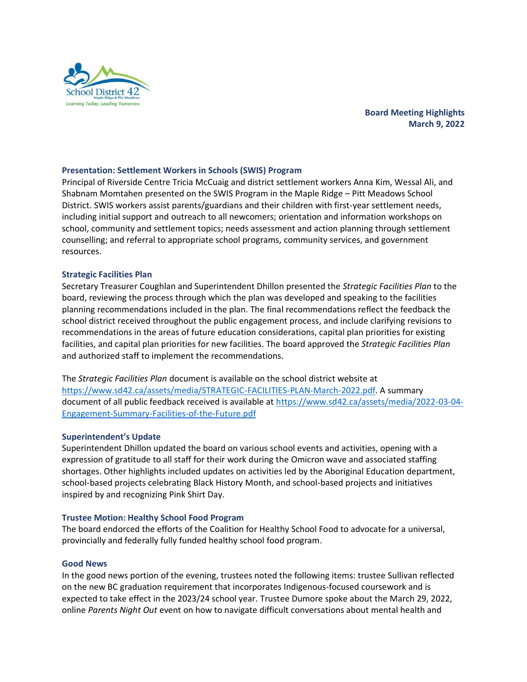

# **Board Meeting Highlights March 9, 2022**

## **Presentation: Settlement Workers in Schools (SWIS) Program**

Principal of Riverside Centre Tricia McCuaig and district settlement workers Anna Kim, Wessal Ali, and Shabnam Momtahen presented on the SWIS Program in the Maple Ridge – Pitt Meadows School District. SWIS workers assist parents/guardians and their children with first-year settlement needs, including initial support and outreach to all newcomers; orientation and information workshops on school, community and settlement topics; needs assessment and action planning through settlement counselling; and referral to appropriate school programs, community services, and government resources.

### **Strategic Facilities Plan**

Secretary Treasurer Coughlan and Superintendent Dhillon presented the *Strategic Facilities Plan* to the board, reviewing the process through which the plan was developed and speaking to the facilities planning recommendations included in the plan. The final recommendations reflect the feedback the school district received throughout the public engagement process, and include clarifying revisions to recommendations in the areas of future education considerations, capital plan priorities for existing facilities, and capital plan priorities for new facilities. The board approved the *Strategic Facilities Plan* and authorized staff to implement the recommendations.

The *Strategic Facilities Plan* document is available on the school district website at [https://www.sd42.ca/assets/media/STRATEGIC-FACILITIES-PLAN-March-2022.pdf.](https://www.sd42.ca/assets/media/STRATEGIC-FACILITIES-PLAN-March-2022.pdf) A summary document of all public feedback received is available at [https://www.sd42.ca/assets/media/2022-03-04-](https://www.sd42.ca/assets/media/2022-03-04-Engagement-Summary-Facilities-of-the-Future.pdf) [Engagement-Summary-Facilities-of-the-Future.pdf](https://www.sd42.ca/assets/media/2022-03-04-Engagement-Summary-Facilities-of-the-Future.pdf)

#### **Superintendent's Update**

Superintendent Dhillon updated the board on various school events and activities, opening with a expression of gratitude to all staff for their work during the Omicron wave and associated staffing shortages. Other highlights included updates on activities led by the Aboriginal Education department, school-based projects celebrating Black History Month, and school-based projects and initiatives inspired by and recognizing Pink Shirt Day.

#### **Trustee Motion: Healthy School Food Program**

The board endorced the efforts of the Coalition for Healthy School Food to advocate for a universal, provincially and federally fully funded healthy school food program.

#### **Good News**

In the good news portion of the evening, trustees noted the following items: trustee Sullivan reflected on the new BC graduation requirement that incorporates Indigenous-focused coursework and is expected to take effect in the 2023/24 school year. Trustee Dumore spoke about the March 29, 2022, online *Parents Night Out* event on how to navigate difficult conversations about mental health and